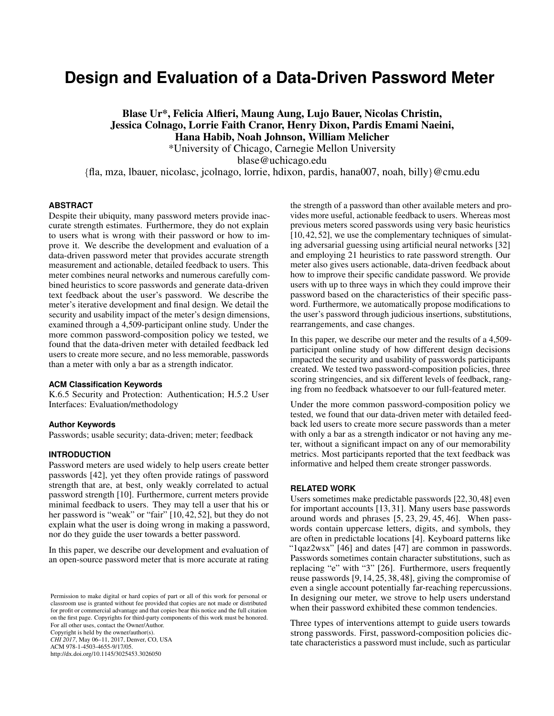# <span id="page-0-0"></span>**Design and Evaluation of a Data-Driven Password Meter**

Blase Ur\*, Felicia Alfieri, Maung Aung, Lujo Bauer, Nicolas Christin, Jessica Colnago, Lorrie Faith Cranor, Henry Dixon, Pardis Emami Naeini, Hana Habib, Noah Johnson, William Melicher

\*University of Chicago, Carnegie Mellon University

blase@uchicago.edu

{fla, mza, lbauer, nicolasc, jcolnago, lorrie, hdixon, pardis, hana007, noah, billy}@cmu.edu

#### **ABSTRACT**

Despite their ubiquity, many password meters provide inaccurate strength estimates. Furthermore, they do not explain to users what is wrong with their password or how to improve it. We describe the development and evaluation of a data-driven password meter that provides accurate strength measurement and actionable, detailed feedback to users. This meter combines neural networks and numerous carefully combined heuristics to score passwords and generate data-driven text feedback about the user's password. We describe the meter's iterative development and final design. We detail the security and usability impact of the meter's design dimensions, examined through a 4,509-participant online study. Under the more common password-composition policy we tested, we found that the data-driven meter with detailed feedback led users to create more secure, and no less memorable, passwords than a meter with only a bar as a strength indicator.

#### **ACM Classification Keywords**

K.6.5 Security and Protection: Authentication; H.5.2 User Interfaces: Evaluation/methodology

#### **Author Keywords**

Passwords; usable security; data-driven; meter; feedback

#### **INTRODUCTION**

Password meters are used widely to help users create better passwords [\[42\]](#page-11-0), yet they often provide ratings of password strength that are, at best, only weakly correlated to actual password strength [\[10\]](#page-10-0). Furthermore, current meters provide minimal feedback to users. They may tell a user that his or her password is "weak" or "fair" [\[10,](#page-10-0) [42,](#page-11-0) [52\]](#page-11-1), but they do not explain what the user is doing wrong in making a password, nor do they guide the user towards a better password.

In this paper, we describe our development and evaluation of an open-source password meter that is more accurate at rating

Permission to make digital or hard copies of part or all of this work for personal or classroom use is granted without fee provided that copies are not made or distributed for profit or commercial advantage and that copies bear this notice and the full citation on the first page. Copyrights for third-party components of this work must be honored. For all other uses, contact the Owner/Author. Copyright is held by the owner/author(s). *CHI 2017*, May 06–11, 2017, Denver, CO, USA ACM 978-1-4503-4655-9/17/05. http://dx.doi.org/10.1145/3025453.3026050

the strength of a password than other available meters and provides more useful, actionable feedback to users. Whereas most previous meters scored passwords using very basic heuristics [\[10,](#page-10-0) [42,](#page-11-0) [52\]](#page-11-1), we use the complementary techniques of simulating adversarial guessing using artificial neural networks [\[32\]](#page-10-1) and employing 21 heuristics to rate password strength. Our meter also gives users actionable, data-driven feedback about how to improve their specific candidate password. We provide users with up to three ways in which they could improve their password based on the characteristics of their specific password. Furthermore, we automatically propose modifications to the user's password through judicious insertions, substitutions, rearrangements, and case changes.

In this paper, we describe our meter and the results of a 4,509 participant online study of how different design decisions impacted the security and usability of passwords participants created. We tested two password-composition policies, three scoring stringencies, and six different levels of feedback, ranging from no feedback whatsoever to our full-featured meter.

Under the more common password-composition policy we tested, we found that our data-driven meter with detailed feedback led users to create more secure passwords than a meter with only a bar as a strength indicator or not having any meter, without a significant impact on any of our memorability metrics. Most participants reported that the text feedback was informative and helped them create stronger passwords.

#### **RELATED WORK**

Users sometimes make predictable passwords [\[22,](#page-10-2)[30,](#page-10-3)[48\]](#page-11-2) even for important accounts [\[13,](#page-10-4) [31\]](#page-10-5). Many users base passwords around words and phrases [\[5,](#page-10-6) [23,](#page-10-7) [29,](#page-10-8) [45,](#page-11-3) [46\]](#page-11-4). When passwords contain uppercase letters, digits, and symbols, they are often in predictable locations [\[4\]](#page-10-9). Keyboard patterns like "1qaz2wsx" [\[46\]](#page-11-4) and dates [\[47\]](#page-11-5) are common in passwords. Passwords sometimes contain character substitutions, such as replacing "e" with "3" [\[26\]](#page-10-10). Furthermore, users frequently reuse passwords [\[9,](#page-10-11) [14,](#page-10-12) [25,](#page-10-13) [38,](#page-11-6) [48\]](#page-11-2), giving the compromise of even a single account potentially far-reaching repercussions. In designing our meter, we strove to help users understand when their password exhibited these common tendencies.

Three types of interventions attempt to guide users towards strong passwords. First, password-composition policies dictate characteristics a password must include, such as particular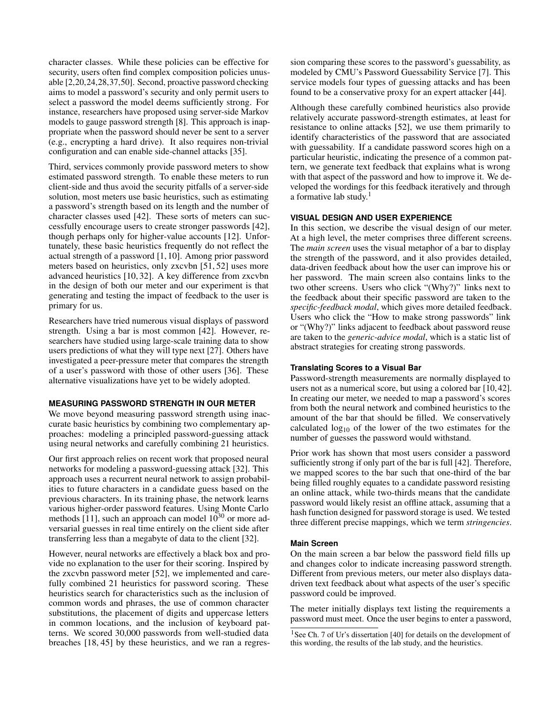character classes. While these policies can be effective for security, users often find complex composition policies unusable [\[2](#page-9-0)[,20,](#page-10-14)[24](#page-10-15)[,28,](#page-10-16)[37,](#page-11-7)[50\]](#page-11-8). Second, proactive password checking aims to model a password's security and only permit users to select a password the model deems sufficiently strong. For instance, researchers have proposed using server-side Markov models to gauge password strength [\[8\]](#page-10-17). This approach is inappropriate when the password should never be sent to a server (e.g., encrypting a hard drive). It also requires non-trivial configuration and can enable side-channel attacks [\[35\]](#page-11-9).

Third, services commonly provide password meters to show estimated password strength. To enable these meters to run client-side and thus avoid the security pitfalls of a server-side solution, most meters use basic heuristics, such as estimating a password's strength based on its length and the number of character classes used [\[42\]](#page-11-0). These sorts of meters can successfully encourage users to create stronger passwords [\[42\]](#page-11-0), though perhaps only for higher-value accounts [\[12\]](#page-10-18). Unfortunately, these basic heuristics frequently do not reflect the actual strength of a password [\[1,](#page-9-1) [10\]](#page-10-0). Among prior password meters based on heuristics, only zxcvbn [\[51,](#page-11-10) [52\]](#page-11-1) uses more advanced heuristics [\[10,](#page-10-0) [32\]](#page-10-1). A key difference from zxcvbn in the design of both our meter and our experiment is that generating and testing the impact of feedback to the user is primary for us.

Researchers have tried numerous visual displays of password strength. Using a bar is most common [\[42\]](#page-11-0). However, researchers have studied using large-scale training data to show users predictions of what they will type next [\[27\]](#page-10-19). Others have investigated a peer-pressure meter that compares the strength of a user's password with those of other users [\[36\]](#page-11-11). These alternative visualizations have yet to be widely adopted.

#### **MEASURING PASSWORD STRENGTH IN OUR METER**

We move beyond measuring password strength using inaccurate basic heuristics by combining two complementary approaches: modeling a principled password-guessing attack using neural networks and carefully combining 21 heuristics.

Our first approach relies on recent work that proposed neural networks for modeling a password-guessing attack [\[32\]](#page-10-1). This approach uses a recurrent neural network to assign probabilities to future characters in a candidate guess based on the previous characters. In its training phase, the network learns various higher-order password features. Using Monte Carlo methods [\[11\]](#page-10-20), such an approach can model  $10^{30}$  or more adversarial guesses in real time entirely on the client side after transferring less than a megabyte of data to the client [\[32\]](#page-10-1).

However, neural networks are effectively a black box and provide no explanation to the user for their scoring. Inspired by the zxcvbn password meter [\[52\]](#page-11-1), we implemented and carefully combined 21 heuristics for password scoring. These heuristics search for characteristics such as the inclusion of common words and phrases, the use of common character substitutions, the placement of digits and uppercase letters in common locations, and the inclusion of keyboard patterns. We scored 30,000 passwords from well-studied data breaches [\[18,](#page-10-21) [45\]](#page-11-3) by these heuristics, and we ran a regression comparing these scores to the password's guessability, as modeled by CMU's Password Guessability Service [\[7\]](#page-10-22). This service models four types of guessing attacks and has been found to be a conservative proxy for an expert attacker [\[44\]](#page-11-12).

Although these carefully combined heuristics also provide relatively accurate password-strength estimates, at least for resistance to online attacks [\[52\]](#page-11-1), we use them primarily to identify characteristics of the password that are associated with guessability. If a candidate password scores high on a particular heuristic, indicating the presence of a common pattern, we generate text feedback that explains what is wrong with that aspect of the password and how to improve it. We developed the wordings for this feedback iteratively and through a formative lab study. $<sup>1</sup>$  $<sup>1</sup>$  $<sup>1</sup>$ </sup>

## **VISUAL DESIGN AND USER EXPERIENCE**

In this section, we describe the visual design of our meter. At a high level, the meter comprises three different screens. The *main screen* uses the visual metaphor of a bar to display the strength of the password, and it also provides detailed, data-driven feedback about how the user can improve his or her password. The main screen also contains links to the two other screens. Users who click "(Why?)" links next to the feedback about their specific password are taken to the *specific-feedback modal*, which gives more detailed feedback. Users who click the "How to make strong passwords" link or "(Why?)" links adjacent to feedback about password reuse are taken to the *generic-advice modal*, which is a static list of abstract strategies for creating strong passwords.

## **Translating Scores to a Visual Bar**

Password-strength measurements are normally displayed to users not as a numerical score, but using a colored bar [\[10,](#page-10-0) [42\]](#page-11-0). In creating our meter, we needed to map a password's scores from both the neural network and combined heuristics to the amount of the bar that should be filled. We conservatively calculated  $log_{10}$  of the lower of the two estimates for the number of guesses the password would withstand.

Prior work has shown that most users consider a password sufficiently strong if only part of the bar is full [\[42\]](#page-11-0). Therefore, we mapped scores to the bar such that one-third of the bar being filled roughly equates to a candidate password resisting an online attack, while two-thirds means that the candidate password would likely resist an offline attack, assuming that a hash function designed for password storage is used. We tested three different precise mappings, which we term *stringencies*.

#### **Main Screen**

On the main screen a bar below the password field fills up and changes color to indicate increasing password strength. Different from previous meters, our meter also displays datadriven text feedback about what aspects of the user's specific password could be improved.

The meter initially displays text listing the requirements a password must meet. Once the user begins to enter a password,

<sup>&</sup>lt;sup>1</sup>See Ch. 7 of Ur's dissertation [\[40\]](#page-11-13) for details on the development of this wording, the results of the lab study, and the heuristics.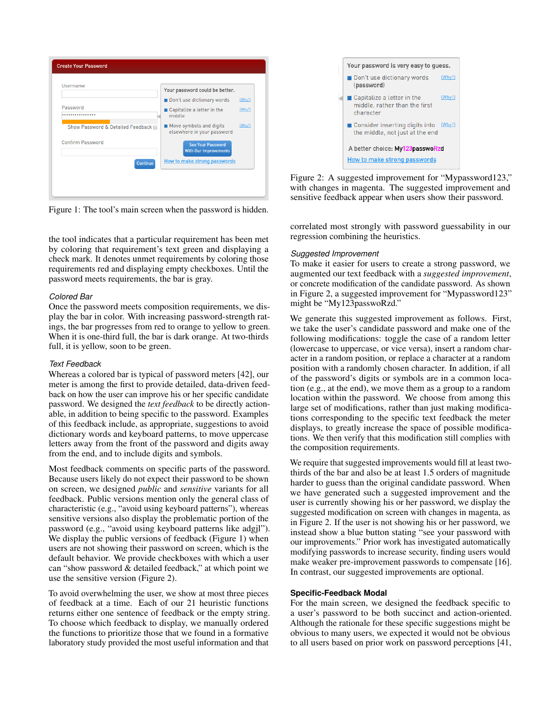<span id="page-2-0"></span>

Figure 1: The tool's main screen when the password is hidden.

the tool indicates that a particular requirement has been met by coloring that requirement's text green and displaying a check mark. It denotes unmet requirements by coloring those requirements red and displaying empty checkboxes. Until the password meets requirements, the bar is gray.

#### *Colored Bar*

Once the password meets composition requirements, we display the bar in color. With increasing password-strength ratings, the bar progresses from red to orange to yellow to green. When it is one-third full, the bar is dark orange. At two-thirds full, it is yellow, soon to be green.

#### *Text Feedback*

Whereas a colored bar is typical of password meters [\[42\]](#page-11-0), our meter is among the first to provide detailed, data-driven feedback on how the user can improve his or her specific candidate password. We designed the *text feedback* to be directly actionable, in addition to being specific to the password. Examples of this feedback include, as appropriate, suggestions to avoid dictionary words and keyboard patterns, to move uppercase letters away from the front of the password and digits away from the end, and to include digits and symbols.

Most feedback comments on specific parts of the password. Because users likely do not expect their password to be shown on screen, we designed *public* and *sensitive* variants for all feedback. Public versions mention only the general class of characteristic (e.g., "avoid using keyboard patterns"), whereas sensitive versions also display the problematic portion of the password (e.g., "avoid using keyboard patterns like adgjl"). We display the public versions of feedback (Figure [1\)](#page-2-0) when users are not showing their password on screen, which is the default behavior. We provide checkboxes with which a user can "show password & detailed feedback," at which point we use the sensitive version (Figure [2\)](#page-2-1).

To avoid overwhelming the user, we show at most three pieces of feedback at a time. Each of our 21 heuristic functions returns either one sentence of feedback or the empty string. To choose which feedback to display, we manually ordered the functions to prioritize those that we found in a formative laboratory study provided the most useful information and that

<span id="page-2-1"></span>

Figure 2: A suggested improvement for "Mypassword123," with changes in magenta. The suggested improvement and sensitive feedback appear when users show their password.

correlated most strongly with password guessability in our regression combining the heuristics.

## *Suggested Improvement*

To make it easier for users to create a strong password, we augmented our text feedback with a *suggested improvement*, or concrete modification of the candidate password. As shown in Figure [2,](#page-2-1) a suggested improvement for "Mypassword123" might be "My123passwoRzd."

We generate this suggested improvement as follows. First, we take the user's candidate password and make one of the following modifications: toggle the case of a random letter (lowercase to uppercase, or vice versa), insert a random character in a random position, or replace a character at a random position with a randomly chosen character. In addition, if all of the password's digits or symbols are in a common location (e.g., at the end), we move them as a group to a random location within the password. We choose from among this large set of modifications, rather than just making modifications corresponding to the specific text feedback the meter displays, to greatly increase the space of possible modifications. We then verify that this modification still complies with the composition requirements.

We require that suggested improvements would fill at least twothirds of the bar and also be at least 1.5 orders of magnitude harder to guess than the original candidate password. When we have generated such a suggested improvement and the user is currently showing his or her password, we display the suggested modification on screen with changes in magenta, as in Figure [2.](#page-2-1) If the user is not showing his or her password, we instead show a blue button stating "see your password with our improvements." Prior work has investigated automatically modifying passwords to increase security, finding users would make weaker pre-improvement passwords to compensate [\[16\]](#page-10-23). In contrast, our suggested improvements are optional.

#### **Specific-Feedback Modal**

For the main screen, we designed the feedback specific to a user's password to be both succinct and action-oriented. Although the rationale for these specific suggestions might be obvious to many users, we expected it would not be obvious to all users based on prior work on password perceptions [\[41,](#page-11-14)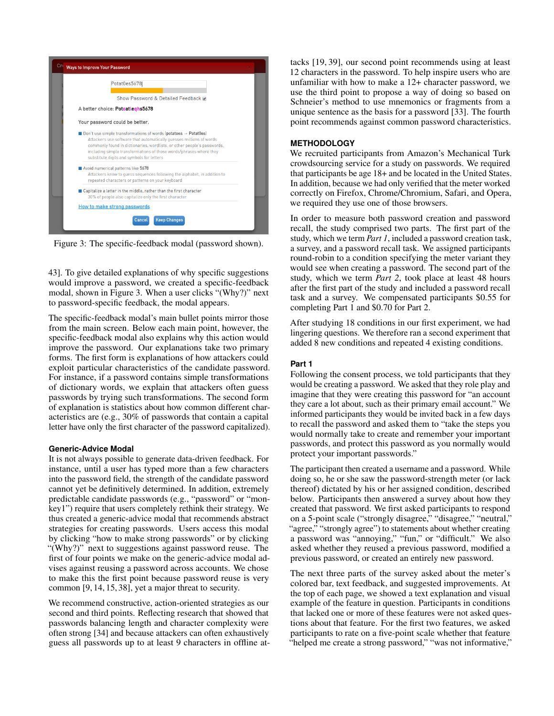<span id="page-3-0"></span>

Figure 3: The specific-feedback modal (password shown).

[43\]](#page-11-15). To give detailed explanations of why specific suggestions would improve a password, we created a specific-feedback modal, shown in Figure [3.](#page-3-0) When a user clicks "(Why?)" next to password-specific feedback, the modal appears.

The specific-feedback modal's main bullet points mirror those from the main screen. Below each main point, however, the specific-feedback modal also explains why this action would improve the password. Our explanations take two primary forms. The first form is explanations of how attackers could exploit particular characteristics of the candidate password. For instance, if a password contains simple transformations of dictionary words, we explain that attackers often guess passwords by trying such transformations. The second form of explanation is statistics about how common different characteristics are (e.g., 30% of passwords that contain a capital letter have only the first character of the password capitalized).

#### **Generic-Advice Modal**

It is not always possible to generate data-driven feedback. For instance, until a user has typed more than a few characters into the password field, the strength of the candidate password cannot yet be definitively determined. In addition, extremely predictable candidate passwords (e.g., "password" or "monkey1") require that users completely rethink their strategy. We thus created a generic-advice modal that recommends abstract strategies for creating passwords. Users access this modal by clicking "how to make strong passwords" or by clicking "(Why?)" next to suggestions against password reuse. The first of four points we make on the generic-advice modal advises against reusing a password across accounts. We chose to make this the first point because password reuse is very common [\[9,](#page-10-11) [14,](#page-10-12) [15,](#page-10-24) [38\]](#page-11-6), yet a major threat to security.

We recommend constructive, action-oriented strategies as our second and third points. Reflecting research that showed that passwords balancing length and character complexity were often strong [\[34\]](#page-11-16) and because attackers can often exhaustively guess all passwords up to at least 9 characters in offline attacks [\[19,](#page-10-25) [39\]](#page-11-17), our second point recommends using at least 12 characters in the password. To help inspire users who are unfamiliar with how to make a 12+ character password, we use the third point to propose a way of doing so based on Schneier's method to use mnemonics or fragments from a unique sentence as the basis for a password [\[33\]](#page-10-26). The fourth point recommends against common password characteristics.

## **METHODOLOGY**

We recruited participants from Amazon's Mechanical Turk crowdsourcing service for a study on passwords. We required that participants be age 18+ and be located in the United States. In addition, because we had only verified that the meter worked correctly on Firefox, Chrome/Chromium, Safari, and Opera, we required they use one of those browsers.

In order to measure both password creation and password recall, the study comprised two parts. The first part of the study, which we term *Part 1*, included a password creation task, a survey, and a password recall task. We assigned participants round-robin to a condition specifying the meter variant they would see when creating a password. The second part of the study, which we term *Part 2*, took place at least 48 hours after the first part of the study and included a password recall task and a survey. We compensated participants \$0.55 for completing Part 1 and \$0.70 for Part 2.

After studying 18 conditions in our first experiment, we had lingering questions. We therefore ran a second experiment that added 8 new conditions and repeated 4 existing conditions.

## **Part 1**

Following the consent process, we told participants that they would be creating a password. We asked that they role play and imagine that they were creating this password for "an account they care a lot about, such as their primary email account." We informed participants they would be invited back in a few days to recall the password and asked them to "take the steps you would normally take to create and remember your important passwords, and protect this password as you normally would protect your important passwords."

The participant then created a username and a password. While doing so, he or she saw the password-strength meter (or lack thereof) dictated by his or her assigned condition, described below. Participants then answered a survey about how they created that password. We first asked participants to respond on a 5-point scale ("strongly disagree," "disagree," "neutral," "agree," "strongly agree") to statements about whether creating a password was "annoying," "fun," or "difficult." We also asked whether they reused a previous password, modified a previous password, or created an entirely new password.

The next three parts of the survey asked about the meter's colored bar, text feedback, and suggested improvements. At the top of each page, we showed a text explanation and visual example of the feature in question. Participants in conditions that lacked one or more of these features were not asked questions about that feature. For the first two features, we asked participants to rate on a five-point scale whether that feature "helped me create a strong password," "was not informative,"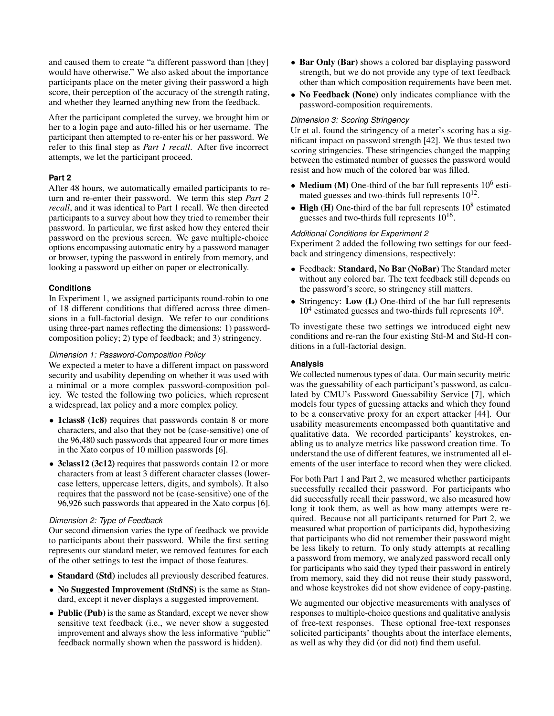and caused them to create "a different password than [they] would have otherwise." We also asked about the importance participants place on the meter giving their password a high score, their perception of the accuracy of the strength rating, and whether they learned anything new from the feedback.

After the participant completed the survey, we brought him or her to a login page and auto-filled his or her username. The participant then attempted to re-enter his or her password. We refer to this final step as *Part 1 recall*. After five incorrect attempts, we let the participant proceed.

## **Part 2**

After 48 hours, we automatically emailed participants to return and re-enter their password. We term this step *Part 2 recall*, and it was identical to Part 1 recall. We then directed participants to a survey about how they tried to remember their password. In particular, we first asked how they entered their password on the previous screen. We gave multiple-choice options encompassing automatic entry by a password manager or browser, typing the password in entirely from memory, and looking a password up either on paper or electronically.

## **Conditions**

In Experiment 1, we assigned participants round-robin to one of 18 different conditions that differed across three dimensions in a full-factorial design. We refer to our conditions using three-part names reflecting the dimensions: 1) passwordcomposition policy; 2) type of feedback; and 3) stringency.

## *Dimension 1: Password-Composition Policy*

We expected a meter to have a different impact on password security and usability depending on whether it was used with a minimal or a more complex password-composition policy. We tested the following two policies, which represent a widespread, lax policy and a more complex policy.

- 1 class 8 (1c8) requires that passwords contain 8 or more characters, and also that they not be (case-sensitive) one of the 96,480 such passwords that appeared four or more times in the Xato corpus of 10 million passwords [\[6\]](#page-10-27).
- 3class12 (3c12) requires that passwords contain 12 or more characters from at least 3 different character classes (lowercase letters, uppercase letters, digits, and symbols). It also requires that the password not be (case-sensitive) one of the 96,926 such passwords that appeared in the Xato corpus [\[6\]](#page-10-27).

#### *Dimension 2: Type of Feedback*

Our second dimension varies the type of feedback we provide to participants about their password. While the first setting represents our standard meter, we removed features for each of the other settings to test the impact of those features.

- Standard (Std) includes all previously described features.
- No Suggested Improvement (StdNS) is the same as Standard, except it never displays a suggested improvement.
- Public (Pub) is the same as Standard, except we never show sensitive text feedback (i.e., we never show a suggested improvement and always show the less informative "public" feedback normally shown when the password is hidden).
- Bar Only (Bar) shows a colored bar displaying password strength, but we do not provide any type of text feedback other than which composition requirements have been met.
- No Feedback (None) only indicates compliance with the password-composition requirements.

# *Dimension 3: Scoring Stringency*

Ur et al. found the stringency of a meter's scoring has a significant impact on password strength [\[42\]](#page-11-0). We thus tested two scoring stringencies. These stringencies changed the mapping between the estimated number of guesses the password would resist and how much of the colored bar was filled.

- Medium (M) One-third of the bar full represents  $10^6$  estimated guesses and two-thirds full represents  $10^{12}$ .
- High (H) One-third of the bar full represents  $10^8$  estimated guesses and two-thirds full represents  $10^{16}$ .

# *Additional Conditions for Experiment 2*

Experiment 2 added the following two settings for our feedback and stringency dimensions, respectively:

- Feedback: Standard, No Bar (NoBar) The Standard meter without any colored bar. The text feedback still depends on the password's score, so stringency still matters.
- Stringency: Low (L) One-third of the bar full represents 10<sup>4</sup> estimated guesses and two-thirds full represents 10<sup>8</sup>.

To investigate these two settings we introduced eight new conditions and re-ran the four existing Std-M and Std-H conditions in a full-factorial design.

## **Analysis**

We collected numerous types of data. Our main security metric was the guessability of each participant's password, as calculated by CMU's Password Guessability Service [\[7\]](#page-10-22), which models four types of guessing attacks and which they found to be a conservative proxy for an expert attacker [\[44\]](#page-11-12). Our usability measurements encompassed both quantitative and qualitative data. We recorded participants' keystrokes, enabling us to analyze metrics like password creation time. To understand the use of different features, we instrumented all elements of the user interface to record when they were clicked.

For both Part 1 and Part 2, we measured whether participants successfully recalled their password. For participants who did successfully recall their password, we also measured how long it took them, as well as how many attempts were required. Because not all participants returned for Part 2, we measured what proportion of participants did, hypothesizing that participants who did not remember their password might be less likely to return. To only study attempts at recalling a password from memory, we analyzed password recall only for participants who said they typed their password in entirely from memory, said they did not reuse their study password, and whose keystrokes did not show evidence of copy-pasting.

We augmented our objective measurements with analyses of responses to multiple-choice questions and qualitative analysis of free-text responses. These optional free-text responses solicited participants' thoughts about the interface elements, as well as why they did (or did not) find them useful.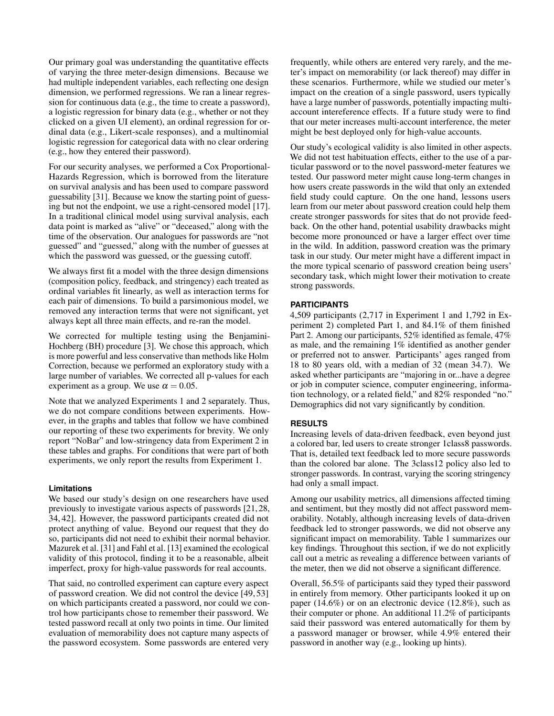Our primary goal was understanding the quantitative effects of varying the three meter-design dimensions. Because we had multiple independent variables, each reflecting one design dimension, we performed regressions. We ran a linear regression for continuous data (e.g., the time to create a password), a logistic regression for binary data (e.g., whether or not they clicked on a given UI element), an ordinal regression for ordinal data (e.g., Likert-scale responses), and a multinomial logistic regression for categorical data with no clear ordering (e.g., how they entered their password).

For our security analyses, we performed a Cox Proportional-Hazards Regression, which is borrowed from the literature on survival analysis and has been used to compare password guessability [\[31\]](#page-10-5). Because we know the starting point of guessing but not the endpoint, we use a right-censored model [\[17\]](#page-10-28). In a traditional clinical model using survival analysis, each data point is marked as "alive" or "deceased," along with the time of the observation. Our analogues for passwords are "not guessed" and "guessed," along with the number of guesses at which the password was guessed, or the guessing cutoff.

We always first fit a model with the three design dimensions (composition policy, feedback, and stringency) each treated as ordinal variables fit linearly, as well as interaction terms for each pair of dimensions. To build a parsimonious model, we removed any interaction terms that were not significant, yet always kept all three main effects, and re-ran the model.

We corrected for multiple testing using the Benjamini-Hochberg (BH) procedure [\[3\]](#page-9-2). We chose this approach, which is more powerful and less conservative than methods like Holm Correction, because we performed an exploratory study with a large number of variables. We corrected all p-values for each experiment as a group. We use  $\alpha = 0.05$ .

Note that we analyzed Experiments 1 and 2 separately. Thus, we do not compare conditions between experiments. However, in the graphs and tables that follow we have combined our reporting of these two experiments for brevity. We only report "NoBar" and low-stringency data from Experiment 2 in these tables and graphs. For conditions that were part of both experiments, we only report the results from Experiment 1.

## **Limitations**

We based our study's design on one researchers have used previously to investigate various aspects of passwords [\[21,](#page-10-29) [28,](#page-10-16) [34,](#page-11-16) [42\]](#page-11-0). However, the password participants created did not protect anything of value. Beyond our request that they do so, participants did not need to exhibit their normal behavior. Mazurek et al. [\[31\]](#page-10-5) and Fahl et al. [\[13\]](#page-10-4) examined the ecological validity of this protocol, finding it to be a reasonable, albeit imperfect, proxy for high-value passwords for real accounts.

That said, no controlled experiment can capture every aspect of password creation. We did not control the device [\[49,](#page-11-18) [53\]](#page-11-19) on which participants created a password, nor could we control how participants chose to remember their password. We tested password recall at only two points in time. Our limited evaluation of memorability does not capture many aspects of the password ecosystem. Some passwords are entered very frequently, while others are entered very rarely, and the meter's impact on memorability (or lack thereof) may differ in these scenarios. Furthermore, while we studied our meter's impact on the creation of a single password, users typically have a large number of passwords, potentially impacting multiaccount intereference effects. If a future study were to find that our meter increases multi-account interference, the meter might be best deployed only for high-value accounts.

Our study's ecological validity is also limited in other aspects. We did not test habituation effects, either to the use of a particular password or to the novel password-meter features we tested. Our password meter might cause long-term changes in how users create passwords in the wild that only an extended field study could capture. On the one hand, lessons users learn from our meter about password creation could help them create stronger passwords for sites that do not provide feedback. On the other hand, potential usability drawbacks might become more pronounced or have a larger effect over time in the wild. In addition, password creation was the primary task in our study. Our meter might have a different impact in the more typical scenario of password creation being users' secondary task, which might lower their motivation to create strong passwords.

## **PARTICIPANTS**

4,509 participants (2,717 in Experiment 1 and 1,792 in Experiment 2) completed Part 1, and 84.1% of them finished Part 2. Among our participants, 52% identified as female, 47% as male, and the remaining 1% identified as another gender or preferred not to answer. Participants' ages ranged from 18 to 80 years old, with a median of 32 (mean 34.7). We asked whether participants are "majoring in or...have a degree or job in computer science, computer engineering, information technology, or a related field," and 82% responded "no." Demographics did not vary significantly by condition.

## **RESULTS**

Increasing levels of data-driven feedback, even beyond just a colored bar, led users to create stronger 1class8 passwords. That is, detailed text feedback led to more secure passwords than the colored bar alone. The 3class12 policy also led to stronger passwords. In contrast, varying the scoring stringency had only a small impact.

Among our usability metrics, all dimensions affected timing and sentiment, but they mostly did not affect password memorability. Notably, although increasing levels of data-driven feedback led to stronger passwords, we did not observe any significant impact on memorability. Table [1](#page-8-0) summarizes our key findings. Throughout this section, if we do not explicitly call out a metric as revealing a difference between variants of the meter, then we did not observe a significant difference.

Overall, 56.5% of participants said they typed their password in entirely from memory. Other participants looked it up on paper (14.6%) or on an electronic device (12.8%), such as their computer or phone. An additional 11.2% of participants said their password was entered automatically for them by a password manager or browser, while 4.9% entered their password in another way (e.g., looking up hints).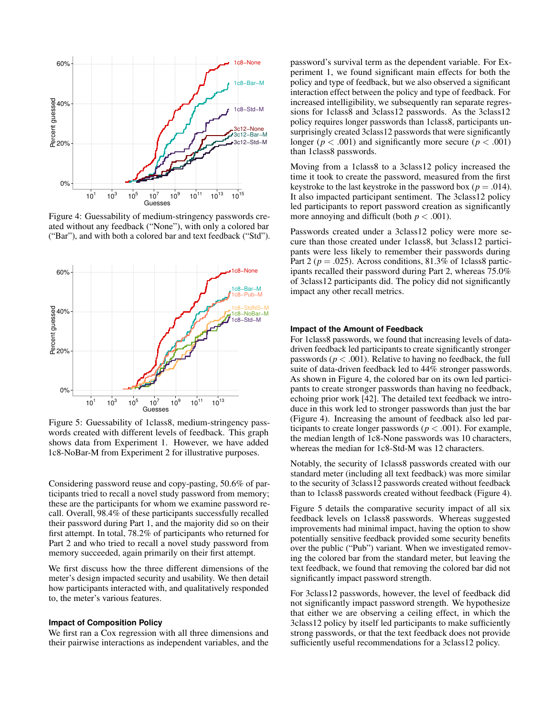<span id="page-6-0"></span>

Figure 4: Guessability of medium-stringency passwords created without any feedback ("None"), with only a colored bar ("Bar"), and with both a colored bar and text feedback ("Std").

<span id="page-6-1"></span>

Figure 5: Guessability of 1class8, medium-stringency passwords created with different levels of feedback. This graph shows data from Experiment 1. However, we have added 1c8-NoBar-M from Experiment 2 for illustrative purposes.

Considering password reuse and copy-pasting, 50.6% of participants tried to recall a novel study password from memory; these are the participants for whom we examine password recall. Overall, 98.4% of these participants successfully recalled their password during Part 1, and the majority did so on their first attempt. In total, 78.2% of participants who returned for Part 2 and who tried to recall a novel study password from memory succeeded, again primarily on their first attempt.

We first discuss how the three different dimensions of the meter's design impacted security and usability. We then detail how participants interacted with, and qualitatively responded to, the meter's various features.

## **Impact of Composition Policy**

We first ran a Cox regression with all three dimensions and their pairwise interactions as independent variables, and the password's survival term as the dependent variable. For Experiment 1, we found significant main effects for both the policy and type of feedback, but we also observed a significant interaction effect between the policy and type of feedback. For increased intelligibility, we subsequently ran separate regressions for 1class8 and 3class12 passwords. As the 3class12 policy requires longer passwords than 1class8, participants unsurprisingly created 3class12 passwords that were significantly longer ( $p < .001$ ) and significantly more secure ( $p < .001$ ) than 1class8 passwords.

Moving from a 1class8 to a 3class12 policy increased the time it took to create the password, measured from the first keystroke to the last keystroke in the password box ( $p = .014$ ). It also impacted participant sentiment. The 3class12 policy led participants to report password creation as significantly more annoying and difficult (both  $p < .001$ ).

Passwords created under a 3class12 policy were more secure than those created under 1class8, but 3class12 participants were less likely to remember their passwords during Part 2 ( $p = .025$ ). Across conditions, 81.3% of 1class8 participants recalled their password during Part 2, whereas 75.0% of 3class12 participants did. The policy did not significantly impact any other recall metrics.

## **Impact of the Amount of Feedback**

For 1class8 passwords, we found that increasing levels of datadriven feedback led participants to create significantly stronger passwords ( $p < .001$ ). Relative to having no feedback, the full suite of data-driven feedback led to 44% stronger passwords. As shown in Figure [4,](#page-6-0) the colored bar on its own led participants to create stronger passwords than having no feedback, echoing prior work [\[42\]](#page-11-0). The detailed text feedback we introduce in this work led to stronger passwords than just the bar (Figure [4\)](#page-6-0). Increasing the amount of feedback also led participants to create longer passwords ( $p < .001$ ). For example, the median length of 1c8-None passwords was 10 characters, whereas the median for 1c8-Std-M was 12 characters.

Notably, the security of 1class8 passwords created with our standard meter (including all text feedback) was more similar to the security of 3class12 passwords created without feedback than to 1class8 passwords created without feedback (Figure [4\)](#page-6-0).

Figure [5](#page-6-1) details the comparative security impact of all six feedback levels on 1class8 passwords. Whereas suggested improvements had minimal impact, having the option to show potentially sensitive feedback provided some security benefits over the public ("Pub") variant. When we investigated removing the colored bar from the standard meter, but leaving the text feedback, we found that removing the colored bar did not significantly impact password strength.

For 3class12 passwords, however, the level of feedback did not significantly impact password strength. We hypothesize that either we are observing a ceiling effect, in which the 3class12 policy by itself led participants to make sufficiently strong passwords, or that the text feedback does not provide sufficiently useful recommendations for a 3class12 policy.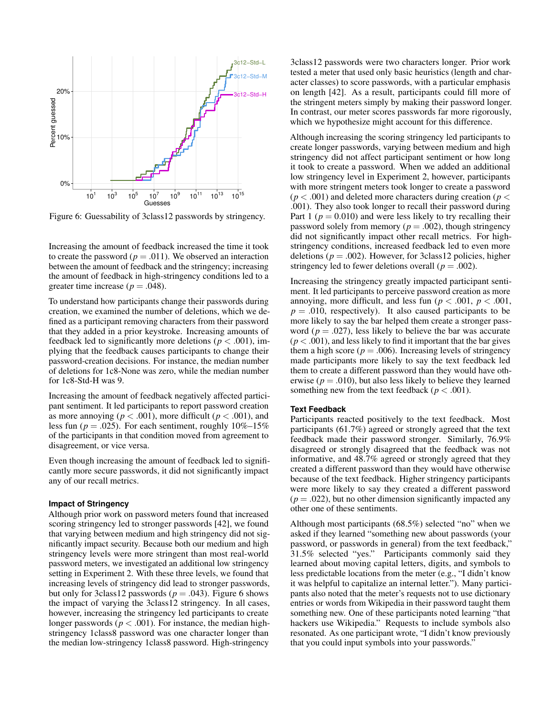<span id="page-7-0"></span>

Figure 6: Guessability of 3class12 passwords by stringency.

Increasing the amount of feedback increased the time it took to create the password ( $p = .011$ ). We observed an interaction between the amount of feedback and the stringency; increasing the amount of feedback in high-stringency conditions led to a greater time increase ( $p = .048$ ).

To understand how participants change their passwords during creation, we examined the number of deletions, which we defined as a participant removing characters from their password that they added in a prior keystroke. Increasing amounts of feedback led to significantly more deletions ( $p < .001$ ), implying that the feedback causes participants to change their password-creation decisions. For instance, the median number of deletions for 1c8-None was zero, while the median number for 1c8-Std-H was 9.

Increasing the amount of feedback negatively affected participant sentiment. It led participants to report password creation as more annoying ( $p < .001$ ), more difficult ( $p < .001$ ), and less fun ( $p = .025$ ). For each sentiment, roughly  $10\% - 15\%$ of the participants in that condition moved from agreement to disagreement, or vice versa.

Even though increasing the amount of feedback led to significantly more secure passwords, it did not significantly impact any of our recall metrics.

#### **Impact of Stringency**

Although prior work on password meters found that increased scoring stringency led to stronger passwords [\[42\]](#page-11-0), we found that varying between medium and high stringency did not significantly impact security. Because both our medium and high stringency levels were more stringent than most real-world password meters, we investigated an additional low stringency setting in Experiment 2. With these three levels, we found that increasing levels of stringency did lead to stronger passwords, but only for 3class12 passwords ( $p = .043$ ). Figure [6](#page-7-0) shows the impact of varying the 3class12 stringency. In all cases, however, increasing the stringency led participants to create longer passwords ( $p < .001$ ). For instance, the median highstringency 1class8 password was one character longer than the median low-stringency 1class8 password. High-stringency

3class12 passwords were two characters longer. Prior work tested a meter that used only basic heuristics (length and character classes) to score passwords, with a particular emphasis on length [\[42\]](#page-11-0). As a result, participants could fill more of the stringent meters simply by making their password longer. In contrast, our meter scores passwords far more rigorously, which we hypothesize might account for this difference.

Although increasing the scoring stringency led participants to create longer passwords, varying between medium and high stringency did not affect participant sentiment or how long it took to create a password. When we added an additional low stringency level in Experiment 2, however, participants with more stringent meters took longer to create a password  $(p < .001)$  and deleted more characters during creation ( $p <$ .001). They also took longer to recall their password during Part 1 ( $p = 0.010$ ) and were less likely to try recalling their password solely from memory ( $p = .002$ ), though stringency did not significantly impact other recall metrics. For highstringency conditions, increased feedback led to even more deletions ( $p = .002$ ). However, for 3class12 policies, higher stringency led to fewer deletions overall ( $p = .002$ ).

Increasing the stringency greatly impacted participant sentiment. It led participants to perceive password creation as more annoying, more difficult, and less fun ( $p < .001$ ,  $p < .001$ ,  $p = .010$ , respectively). It also caused participants to be more likely to say the bar helped them create a stronger password ( $p = .027$ ), less likely to believe the bar was accurate  $(p < .001)$ , and less likely to find it important that the bar gives them a high score ( $p = .006$ ). Increasing levels of stringency made participants more likely to say the text feedback led them to create a different password than they would have otherwise  $(p = .010)$ , but also less likely to believe they learned something new from the text feedback ( $p < .001$ ).

#### **Text Feedback**

Participants reacted positively to the text feedback. Most participants (61.7%) agreed or strongly agreed that the text feedback made their password stronger. Similarly, 76.9% disagreed or strongly disagreed that the feedback was not informative, and 48.7% agreed or strongly agreed that they created a different password than they would have otherwise because of the text feedback. Higher stringency participants were more likely to say they created a different password  $(p = .022)$ , but no other dimension significantly impacted any other one of these sentiments.

Although most participants (68.5%) selected "no" when we asked if they learned "something new about passwords (your password, or passwords in general) from the text feedback," 31.5% selected "yes." Participants commonly said they learned about moving capital letters, digits, and symbols to less predictable locations from the meter (e.g., "I didn't know it was helpful to capitalize an internal letter."). Many participants also noted that the meter's requests not to use dictionary entries or words from Wikipedia in their password taught them something new. One of these participants noted learning "that hackers use Wikipedia." Requests to include symbols also resonated. As one participant wrote, "I didn't know previously that you could input symbols into your passwords."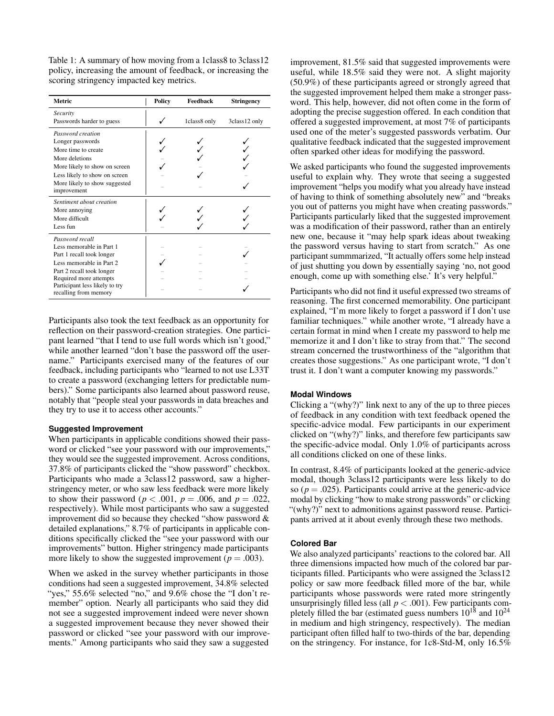<span id="page-8-0"></span>Table 1: A summary of how moving from a 1class8 to 3class12 policy, increasing the amount of feedback, or increasing the scoring stringency impacted key metrics.

| <b>Metric</b>                                                                                                                                                                                                          | <b>Policy</b> | Feedback     | <b>Stringency</b> |
|------------------------------------------------------------------------------------------------------------------------------------------------------------------------------------------------------------------------|---------------|--------------|-------------------|
| Security<br>Passwords harder to guess                                                                                                                                                                                  |               | 1class8 only | 3class12 only     |
| Password creation<br>Longer passwords<br>More time to create<br>More deletions<br>More likely to show on screen<br>Less likely to show on screen<br>More likely to show suggested<br>improvement                       |               |              |                   |
| Sentiment about creation<br>More annoying<br>More difficult<br>Less fun                                                                                                                                                |               |              |                   |
| Password recall<br>Less memorable in Part 1<br>Part 1 recall took longer<br>Less memorable in Part 2<br>Part 2 recall took longer<br>Required more attempts<br>Participant less likely to try<br>recalling from memory |               |              |                   |

Participants also took the text feedback as an opportunity for reflection on their password-creation strategies. One participant learned "that I tend to use full words which isn't good," while another learned "don't base the password off the username." Participants exercised many of the features of our feedback, including participants who "learned to not use L33T to create a password (exchanging letters for predictable numbers)." Some participants also learned about password reuse, notably that "people steal your passwords in data breaches and they try to use it to access other accounts."

#### **Suggested Improvement**

When participants in applicable conditions showed their password or clicked "see your password with our improvements," they would see the suggested improvement. Across conditions, 37.8% of participants clicked the "show password" checkbox. Participants who made a 3class12 password, saw a higherstringency meter, or who saw less feedback were more likely to show their password ( $p < .001$ ,  $p = .006$ , and  $p = .022$ , respectively). While most participants who saw a suggested improvement did so because they checked "show password & detailed explanations," 8.7% of participants in applicable conditions specifically clicked the "see your password with our improvements" button. Higher stringency made participants more likely to show the suggested improvement ( $p = .003$ ).

When we asked in the survey whether participants in those conditions had seen a suggested improvement, 34.8% selected "yes," 55.6% selected "no," and 9.6% chose the "I don't remember" option. Nearly all participants who said they did not see a suggested improvement indeed were never shown a suggested improvement because they never showed their password or clicked "see your password with our improvements." Among participants who said they saw a suggested

improvement, 81.5% said that suggested improvements were useful, while 18.5% said they were not. A slight majority (50.9%) of these participants agreed or strongly agreed that the suggested improvement helped them make a stronger password. This help, however, did not often come in the form of adopting the precise suggestion offered. In each condition that offered a suggested improvement, at most 7% of participants used one of the meter's suggested passwords verbatim. Our qualitative feedback indicated that the suggested improvement often sparked other ideas for modifying the password.

We asked participants who found the suggested improvements useful to explain why. They wrote that seeing a suggested improvement "helps you modify what you already have instead of having to think of something absolutely new" and "breaks you out of patterns you might have when creating passwords." Participants particularly liked that the suggested improvement was a modification of their password, rather than an entirely new one, because it "may help spark ideas about tweaking the password versus having to start from scratch." As one participant summmarized, "It actually offers some help instead of just shutting you down by essentially saying 'no, not good enough, come up with something else.' It's very helpful."

Participants who did not find it useful expressed two streams of reasoning. The first concerned memorability. One participant explained, "I'm more likely to forget a password if I don't use familiar techniques." while another wrote, "I already have a certain format in mind when I create my password to help me memorize it and I don't like to stray from that." The second stream concerned the trustworthiness of the "algorithm that creates those suggestions." As one participant wrote, "I don't trust it. I don't want a computer knowing my passwords."

#### **Modal Windows**

Clicking a "(why?)" link next to any of the up to three pieces of feedback in any condition with text feedback opened the specific-advice modal. Few participants in our experiment clicked on "(why?)" links, and therefore few participants saw the specific-advice modal. Only 1.0% of participants across all conditions clicked on one of these links.

In contrast, 8.4% of participants looked at the generic-advice modal, though 3class12 participants were less likely to do so  $(p = .025)$ . Participants could arrive at the generic-advice modal by clicking "how to make strong passwords" or clicking "(why?)" next to admonitions against password reuse. Participants arrived at it about evenly through these two methods.

#### **Colored Bar**

We also analyzed participants' reactions to the colored bar. All three dimensions impacted how much of the colored bar participants filled. Participants who were assigned the 3class12 policy or saw more feedback filled more of the bar, while participants whose passwords were rated more stringently unsurprisingly filled less (all  $p < .001$ ). Few participants completely filled the bar (estimated guess numbers  $10^{18}$  and  $10^{24}$ in medium and high stringency, respectively). The median participant often filled half to two-thirds of the bar, depending on the stringency. For instance, for 1c8-Std-M, only 16.5%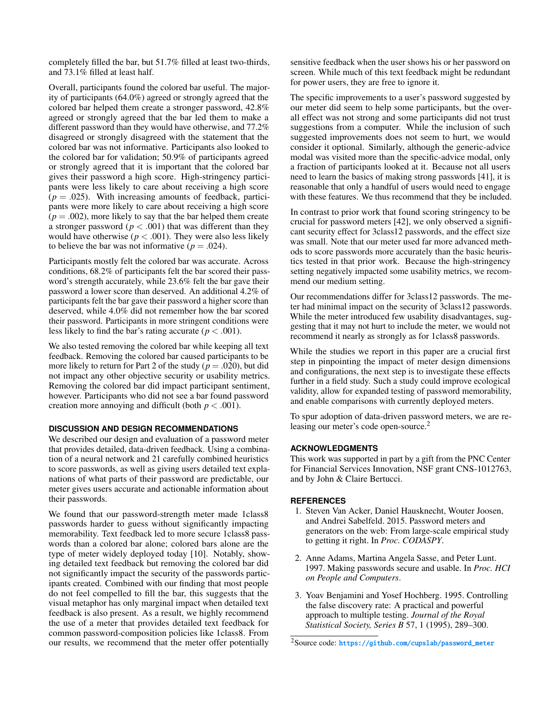completely filled the bar, but 51.7% filled at least two-thirds, and 73.1% filled at least half.

Overall, participants found the colored bar useful. The majority of participants (64.0%) agreed or strongly agreed that the colored bar helped them create a stronger password, 42.8% agreed or strongly agreed that the bar led them to make a different password than they would have otherwise, and 77.2% disagreed or strongly disagreed with the statement that the colored bar was not informative. Participants also looked to the colored bar for validation; 50.9% of participants agreed or strongly agreed that it is important that the colored bar gives their password a high score. High-stringency participants were less likely to care about receiving a high score  $(p = .025)$ . With increasing amounts of feedback, participants were more likely to care about receiving a high score  $(p = .002)$ , more likely to say that the bar helped them create a stronger password ( $p < .001$ ) that was different than they would have otherwise ( $p < .001$ ). They were also less likely to believe the bar was not informative ( $p = .024$ ).

Participants mostly felt the colored bar was accurate. Across conditions, 68.2% of participants felt the bar scored their password's strength accurately, while 23.6% felt the bar gave their password a lower score than deserved. An additional 4.2% of participants felt the bar gave their password a higher score than deserved, while 4.0% did not remember how the bar scored their password. Participants in more stringent conditions were less likely to find the bar's rating accurate ( $p < .001$ ).

We also tested removing the colored bar while keeping all text feedback. Removing the colored bar caused participants to be more likely to return for Part 2 of the study ( $p = .020$ ), but did not impact any other objective security or usability metrics. Removing the colored bar did impact participant sentiment, however. Participants who did not see a bar found password creation more annoying and difficult (both  $p < .001$ ).

#### **DISCUSSION AND DESIGN RECOMMENDATIONS**

We described our design and evaluation of a password meter that provides detailed, data-driven feedback. Using a combination of a neural network and 21 carefully combined heuristics to score passwords, as well as giving users detailed text explanations of what parts of their password are predictable, our meter gives users accurate and actionable information about their passwords.

We found that our password-strength meter made 1class8 passwords harder to guess without significantly impacting memorability. Text feedback led to more secure 1class8 passwords than a colored bar alone; colored bars alone are the type of meter widely deployed today [\[10\]](#page-10-0). Notably, showing detailed text feedback but removing the colored bar did not significantly impact the security of the passwords participants created. Combined with our finding that most people do not feel compelled to fill the bar, this suggests that the visual metaphor has only marginal impact when detailed text feedback is also present. As a result, we highly recommend the use of a meter that provides detailed text feedback for common password-composition policies like 1class8. From our results, we recommend that the meter offer potentially

sensitive feedback when the user shows his or her password on screen. While much of this text feedback might be redundant for power users, they are free to ignore it.

The specific improvements to a user's password suggested by our meter did seem to help some participants, but the overall effect was not strong and some participants did not trust suggestions from a computer. While the inclusion of such suggested improvements does not seem to hurt, we would consider it optional. Similarly, although the generic-advice modal was visited more than the specific-advice modal, only a fraction of participants looked at it. Because not all users need to learn the basics of making strong passwords [\[41\]](#page-11-14), it is reasonable that only a handful of users would need to engage with these features. We thus recommend that they be included.

In contrast to prior work that found scoring stringency to be crucial for password meters [\[42\]](#page-11-0), we only observed a significant security effect for 3class12 passwords, and the effect size was small. Note that our meter used far more advanced methods to score passwords more accurately than the basic heuristics tested in that prior work. Because the high-stringency setting negatively impacted some usability metrics, we recommend our medium setting.

Our recommendations differ for 3class12 passwords. The meter had minimal impact on the security of 3class12 passwords. While the meter introduced few usability disadvantages, suggesting that it may not hurt to include the meter, we would not recommend it nearly as strongly as for 1class8 passwords.

While the studies we report in this paper are a crucial first step in pinpointing the impact of meter design dimensions and configurations, the next step is to investigate these effects further in a field study. Such a study could improve ecological validity, allow for expanded testing of password memorability, and enable comparisons with currently deployed meters.

To spur adoption of data-driven password meters, we are re-leasing our meter's code open-source.<sup>[2](#page-0-0)</sup>

#### **ACKNOWLEDGMENTS**

This work was supported in part by a gift from the PNC Center for Financial Services Innovation, NSF grant CNS-1012763, and by John & Claire Bertucci.

#### <span id="page-9-1"></span>**REFERENCES**

- 1. Steven Van Acker, Daniel Hausknecht, Wouter Joosen, and Andrei Sabelfeld. 2015. Password meters and generators on the web: From large-scale empirical study to getting it right. In *Proc. CODASPY*.
- <span id="page-9-0"></span>2. Anne Adams, Martina Angela Sasse, and Peter Lunt. 1997. Making passwords secure and usable. In *Proc. HCI on People and Computers*.
- <span id="page-9-2"></span>3. Yoav Benjamini and Yosef Hochberg. 1995. Controlling the false discovery rate: A practical and powerful approach to multiple testing. *Journal of the Royal Statistical Society, Series B* 57, 1 (1995), 289–300.

<sup>2</sup>Source code: [https://github.com/cupslab/password\\_meter](https://github.com/cupslab/password_meter)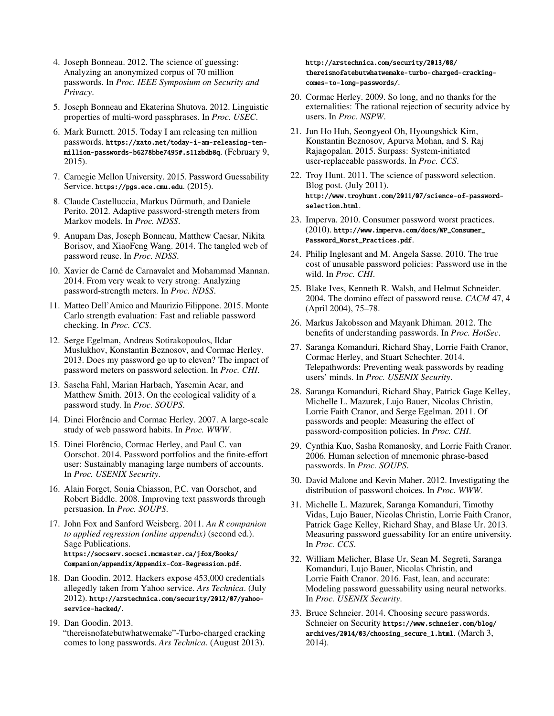- <span id="page-10-9"></span>4. Joseph Bonneau. 2012. The science of guessing: Analyzing an anonymized corpus of 70 million passwords. In *Proc. IEEE Symposium on Security and Privacy*.
- <span id="page-10-6"></span>5. Joseph Bonneau and Ekaterina Shutova. 2012. Linguistic properties of multi-word passphrases. In *Proc. USEC*.
- <span id="page-10-27"></span>6. Mark Burnett. 2015. Today I am releasing ten million passwords. [https://xato.net/today-i-am-releasing-ten](https://xato.net/today-i-am-releasing-ten-million-passwords-b6278bbe7495#.s11zbdb8q)[million-passwords-b6278bbe7495#.s11zbdb8q](https://xato.net/today-i-am-releasing-ten-million-passwords-b6278bbe7495#.s11zbdb8q). (February 9, 2015).
- <span id="page-10-22"></span>7. Carnegie Mellon University. 2015. Password Guessability Service. <https://pgs.ece.cmu.edu>. (2015).
- <span id="page-10-17"></span>8. Claude Castelluccia, Markus Dürmuth, and Daniele Perito. 2012. Adaptive password-strength meters from Markov models. In *Proc. NDSS*.
- <span id="page-10-11"></span>9. Anupam Das, Joseph Bonneau, Matthew Caesar, Nikita Borisov, and XiaoFeng Wang. 2014. The tangled web of password reuse. In *Proc. NDSS*.
- <span id="page-10-0"></span>10. Xavier de Carné de Carnavalet and Mohammad Mannan. 2014. From very weak to very strong: Analyzing password-strength meters. In *Proc. NDSS*.
- <span id="page-10-20"></span>11. Matteo Dell'Amico and Maurizio Filippone. 2015. Monte Carlo strength evaluation: Fast and reliable password checking. In *Proc. CCS*.
- <span id="page-10-18"></span>12. Serge Egelman, Andreas Sotirakopoulos, Ildar Muslukhov, Konstantin Beznosov, and Cormac Herley. 2013. Does my password go up to eleven? The impact of password meters on password selection. In *Proc. CHI*.
- <span id="page-10-4"></span>13. Sascha Fahl, Marian Harbach, Yasemin Acar, and Matthew Smith. 2013. On the ecological validity of a password study. In *Proc. SOUPS*.
- <span id="page-10-12"></span>14. Dinei Florêncio and Cormac Herley. 2007. A large-scale study of web password habits. In *Proc. WWW*.
- <span id="page-10-24"></span>15. Dinei Florêncio, Cormac Herley, and Paul C. van Oorschot. 2014. Password portfolios and the finite-effort user: Sustainably managing large numbers of accounts. In *Proc. USENIX Security*.
- <span id="page-10-23"></span>16. Alain Forget, Sonia Chiasson, P.C. van Oorschot, and Robert Biddle. 2008. Improving text passwords through persuasion. In *Proc. SOUPS*.
- <span id="page-10-28"></span>17. John Fox and Sanford Weisberg. 2011. *An R companion to applied regression (online appendix)* (second ed.). Sage Publications. [https://socserv.socsci.mcmaster.ca/jfox/Books/](https://socserv.socsci.mcmaster.ca/jfox/Books/Companion/appendix/Appendix-Cox-Regression.pdf) [Companion/appendix/Appendix-Cox-Regression.pdf](https://socserv.socsci.mcmaster.ca/jfox/Books/Companion/appendix/Appendix-Cox-Regression.pdf).
- <span id="page-10-21"></span>18. Dan Goodin. 2012. Hackers expose 453,000 credentials allegedly taken from Yahoo service. *Ars Technica*. (July 2012). [http://arstechnica.com/security/2012/07/yahoo](http://arstechnica.com/security/2012/07/yahoo-service-hacked/)[service-hacked/](http://arstechnica.com/security/2012/07/yahoo-service-hacked/).
- <span id="page-10-25"></span>19. Dan Goodin. 2013. "thereisnofatebutwhatwemake"-Turbo-charged cracking comes to long passwords. *Ars Technica*. (August 2013).

## [http://arstechnica.com/security/2013/08/](http://arstechnica.com/security/2013/08/thereisnofatebutwhatwemake-turbo-charged-cracking-comes-to-long-passwords/) [thereisnofatebutwhatwemake-turbo-charged-cracking](http://arstechnica.com/security/2013/08/thereisnofatebutwhatwemake-turbo-charged-cracking-comes-to-long-passwords/)[comes-to-long-passwords/](http://arstechnica.com/security/2013/08/thereisnofatebutwhatwemake-turbo-charged-cracking-comes-to-long-passwords/).

- <span id="page-10-14"></span>20. Cormac Herley. 2009. So long, and no thanks for the externalities: The rational rejection of security advice by users. In *Proc. NSPW*.
- <span id="page-10-29"></span>21. Jun Ho Huh, Seongyeol Oh, Hyoungshick Kim, Konstantin Beznosov, Apurva Mohan, and S. Raj Rajagopalan. 2015. Surpass: System-initiated user-replaceable passwords. In *Proc. CCS*.
- <span id="page-10-2"></span>22. Troy Hunt. 2011. The science of password selection. Blog post. (July 2011). [http://www.troyhunt.com/2011/07/science-of-password](http://www.troyhunt.com/2011/07/science-of-password-selection.html)[selection.html](http://www.troyhunt.com/2011/07/science-of-password-selection.html).
- <span id="page-10-7"></span>23. Imperva. 2010. Consumer password worst practices. (2010). [http://www.imperva.com/docs/WP\\_Consumer\\_](http://www.imperva.com/docs/WP_Consumer_Password_Worst_Practices.pdf) [Password\\_Worst\\_Practices.pdf](http://www.imperva.com/docs/WP_Consumer_Password_Worst_Practices.pdf).
- <span id="page-10-15"></span>24. Philip Inglesant and M. Angela Sasse. 2010. The true cost of unusable password policies: Password use in the wild. In *Proc. CHI*.
- <span id="page-10-13"></span>25. Blake Ives, Kenneth R. Walsh, and Helmut Schneider. 2004. The domino effect of password reuse. *CACM* 47, 4 (April 2004), 75–78.
- <span id="page-10-10"></span>26. Markus Jakobsson and Mayank Dhiman. 2012. The benefits of understanding passwords. In *Proc. HotSec*.
- <span id="page-10-19"></span>27. Saranga Komanduri, Richard Shay, Lorrie Faith Cranor, Cormac Herley, and Stuart Schechter. 2014. Telepathwords: Preventing weak passwords by reading users' minds. In *Proc. USENIX Security*.
- <span id="page-10-16"></span>28. Saranga Komanduri, Richard Shay, Patrick Gage Kelley, Michelle L. Mazurek, Lujo Bauer, Nicolas Christin, Lorrie Faith Cranor, and Serge Egelman. 2011. Of passwords and people: Measuring the effect of password-composition policies. In *Proc. CHI*.
- <span id="page-10-8"></span>29. Cynthia Kuo, Sasha Romanosky, and Lorrie Faith Cranor. 2006. Human selection of mnemonic phrase-based passwords. In *Proc. SOUPS*.
- <span id="page-10-3"></span>30. David Malone and Kevin Maher. 2012. Investigating the distribution of password choices. In *Proc. WWW*.
- <span id="page-10-5"></span>31. Michelle L. Mazurek, Saranga Komanduri, Timothy Vidas, Lujo Bauer, Nicolas Christin, Lorrie Faith Cranor, Patrick Gage Kelley, Richard Shay, and Blase Ur. 2013. Measuring password guessability for an entire university. In *Proc. CCS*.
- <span id="page-10-1"></span>32. William Melicher, Blase Ur, Sean M. Segreti, Saranga Komanduri, Lujo Bauer, Nicolas Christin, and Lorrie Faith Cranor. 2016. Fast, lean, and accurate: Modeling password guessability using neural networks. In *Proc. USENIX Security*.
- <span id="page-10-26"></span>33. Bruce Schneier. 2014. Choosing secure passwords. Schneier on Security [https://www.schneier.com/blog/](https://www.schneier.com/blog/archives/2014/03/choosing_secure_1.html) [archives/2014/03/choosing\\_secure\\_1.html](https://www.schneier.com/blog/archives/2014/03/choosing_secure_1.html). (March 3, 2014).